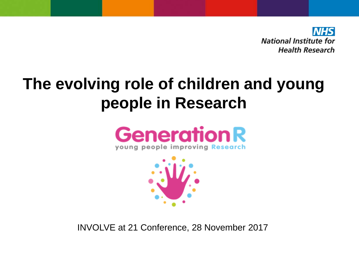

# **The evolving role of children and young people in Research**





INVOLVE at 21 Conference, 28 November 2017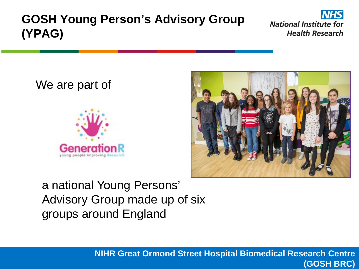# **GOSH Young Person's Advisory Group (YPAG)**



We are part of





## a national Young Persons' Advisory Group made up of six groups around England

**NIHR Great Ormond Street Hospital Biomedical Research Centre (GOSH BRC)**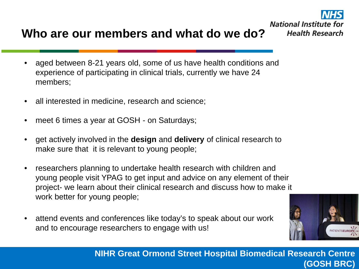# **Who are our members and what do we do?**

- aged between 8-21 years old, some of us have health conditions and experience of participating in clinical trials, currently we have 24 members;
- all interested in medicine, research and science;
- meet 6 times a year at GOSH on Saturdays;
- get actively involved in the **design** and **delivery** of clinical research to make sure that it is relevant to young people;
- researchers planning to undertake health research with children and young people visit YPAG to get input and advice on any element of their project- we learn about their clinical research and discuss how to make it work better for young people;
- attend events and conferences like today's to speak about our work and to encourage researchers to engage with us!



#### **NIHR Great Ormond Street Hospital Biomedical Research Centre (GOSH BRC)**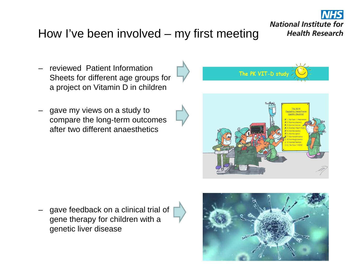#### **National Institute for Health Research**

## How I've been involved – my first meeting

- reviewed Patient Information Sheets for different age groups for a project on Vitamin D in children
- gave my views on a study to compare the long-term outcomes after two different anaesthetics





gave feedback on a clinical trial of gene therapy for children with a genetic liver disease

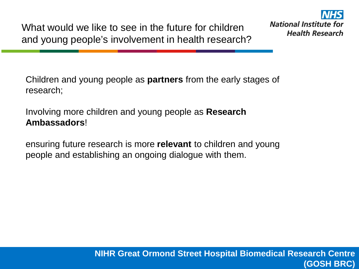

Children and young people as **partners** from the early stages of research;

Involving more children and young people as **Research Ambassadors**!

ensuring future research is more **relevant** to children and young people and establishing an ongoing dialogue with them.